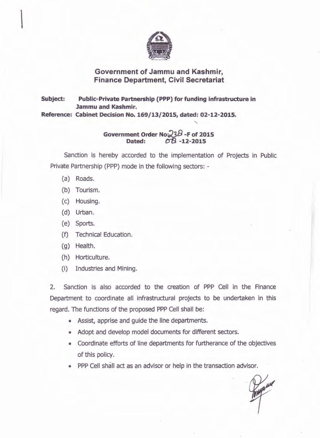

## **Government of Jammu and Kashmir, Finance Department, Civil Secretariat**

**Subject: Public-Private Partnership (PPP) for funding infrastructure in Jammu and Kashmir. Reference: Cabinet Decision No. 169/13/2015, dated: 02-12-2015.** 

> **Government Order No:;238 -F of 2015 Dated:** *t:JB* **-12-2015**

">

Sanction is hereby accorded to the implementation of Projects in Public Private Partnership (PPP) mode in the following sectors: -

- (a) Roads.
- (b) Tourism.
- (c) Housing.
- (d) Urban.
- (e) Sports.
- (f) Technical Education.
- (g) Health.
- (h) Horticulture.
- (i) Industries and Mining.

2. Sanction is also accorded to the creation of PPP Cell in the Finance Department to coordinate all infrastructural projects to be undertaken in this regard. The functions of the proposed PPP Cell shall be:

- Assist, apprise and guide the line departments.
- Adopt and develop model documents for different sectors.
- Coordinate efforts of line departments for furtherance of the objectives of this policy.
- PPP Cell shall act as an advisor or help in the transaction advisor.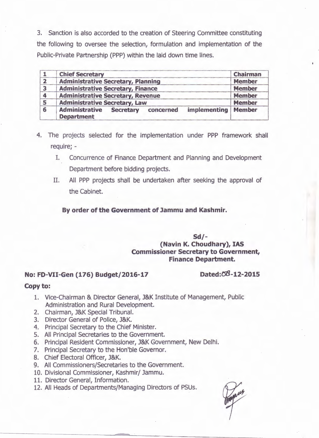3. Sanction is also accorded to the creation of Steering Committee constituting the following to oversee the selection, formulation and implementation of the Public-Private Partnership (PPP) within the laid down time lines.

|                | <b>Chief Secretary</b>                                                               | Chairman      |
|----------------|--------------------------------------------------------------------------------------|---------------|
|                | <b>Administrative Secretary, Planning</b>                                            | <b>Member</b> |
| $\overline{3}$ | <b>Administrative Secretary, Finance</b>                                             | <b>Member</b> |
|                | <b>Administrative Secretary, Revenue</b>                                             | <b>Member</b> |
| 5              | <b>Administrative Secretary, Law</b>                                                 | <b>Member</b> |
|                | <b>Administrative</b><br>implementing<br>concerned<br>Secretary<br><b>Department</b> | <b>Member</b> |

- 4. The projects selected for the implementation under PPP framework shall require; -
	- I. Concurrence of Finance Department and Planning and Development Department before bidding projects.
	- II. All PPP projects shall be undertaken after seeking the approval of the Cabinet.

**By order of the Government of Jammu and Kashmir.** 

**Sd/- (Navin K. Choudhary), IAS Commissioner Secretary to Government, Finance Department.** 

## No: FD-VII-Gen (176) Budget/2016-17 Dated:08-12-2015

## **Copy to:**

- 1. Vice-Chairman & Director General, J&K Institute of Management, Public Administration and Rural Development.
- 2. Chairman, J&K Special Tribunal.
- 3. Director General of Police, J&K.
- 4. Principal Secretary to the Chief Minister.
- 5. All Principal Secretaries to the Government.
- 6. Principal Resident Commissioner, J&K Government, New Delhi.
- 7. Principal Secretary to the Hon'ble Governor.
- 8. Chief Electoral Officer, J&K.
- 9. All Commissioners/Secretaries to the Government.
- 10. Divisional Commissioner, Kashmir/ Jammu.
- 11. Director General, Information.
- 12. All Heads of Departments/Managing Directors of PSUs.